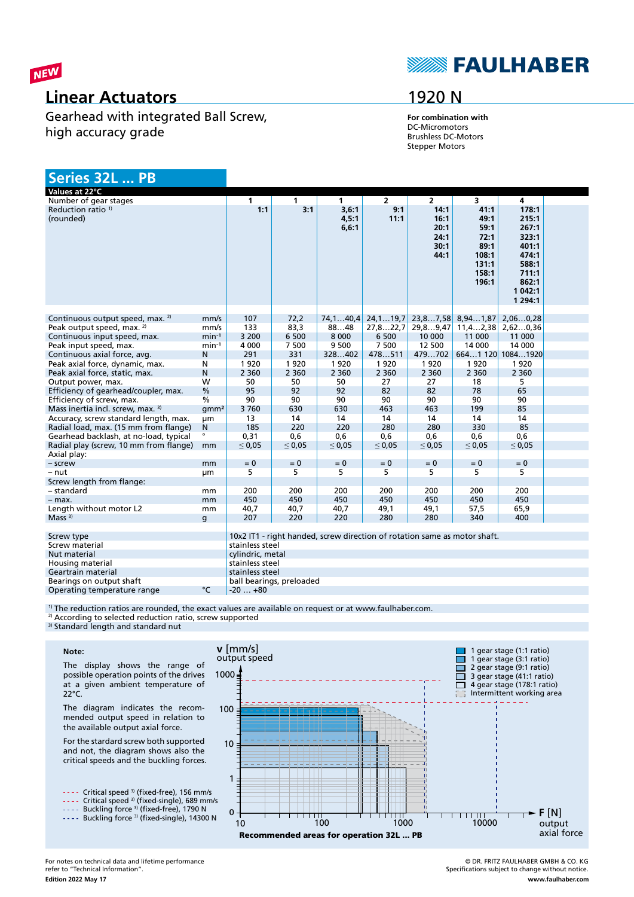

### **Linear Actuators**

Gearhead with integrated Ball Screw, high accuracy grade

# **SEAULHABER**

## 1920 N

**For combination with** DC-Micromotors Brushless DC-Motors Stepper Motors

| Series 32L  PB                                                                       |                  |                  |                          |                                                                           |                |                  |                         |                   |  |
|--------------------------------------------------------------------------------------|------------------|------------------|--------------------------|---------------------------------------------------------------------------|----------------|------------------|-------------------------|-------------------|--|
| Values at 22°C                                                                       |                  |                  |                          |                                                                           |                |                  |                         |                   |  |
| Number of gear stages                                                                |                  | $\mathbf{1}$     | $\mathbf{1}$             | $\mathbf{1}$                                                              | $\overline{2}$ | $\overline{2}$   | $\overline{\mathbf{3}}$ | $\overline{4}$    |  |
| Reduction ratio <sup>1)</sup>                                                        |                  | 1:1              | 3:1                      | 3,6:1                                                                     | 9:1            | 14:1             | 41:1                    | 178:1             |  |
| (rounded)                                                                            |                  |                  |                          | 4,5:1                                                                     | 11:1           | 16:1             | 49:1                    | 215:1             |  |
|                                                                                      |                  |                  |                          | 6, 6:1                                                                    |                | 20:1             | 59:1                    | 267:1             |  |
|                                                                                      |                  |                  |                          |                                                                           |                | 24:1             | 72:1                    | 323:1             |  |
|                                                                                      |                  |                  |                          |                                                                           |                | 30:1             | 89:1                    | 401:1             |  |
|                                                                                      |                  |                  |                          |                                                                           |                | 44:1             | 108:1                   | 474:1             |  |
|                                                                                      |                  |                  |                          |                                                                           |                |                  | 131:1                   | 588:1             |  |
|                                                                                      |                  |                  |                          |                                                                           |                |                  | 158:1                   | 711:1             |  |
|                                                                                      |                  |                  |                          |                                                                           |                |                  | 196:1                   | 862:1             |  |
|                                                                                      |                  |                  |                          |                                                                           |                |                  |                         | 1 042:1           |  |
|                                                                                      |                  |                  |                          |                                                                           |                |                  |                         | 1 2 9 4:1         |  |
|                                                                                      |                  | 107              |                          |                                                                           |                | 23,87,58         | 8,941,87                |                   |  |
| Continuous output speed, max. <sup>2)</sup><br>Peak output speed, max. <sup>2)</sup> | mm/s<br>mm/s     | 133              | 72,2<br>83,3             | 74, 140, 4                                                                | 24, 119, 7     |                  |                         | 2,060,28          |  |
|                                                                                      | $min-1$          | 3 200            |                          | 8848<br>8 0 0 0                                                           | 27,822,7       | 29,89,47         | 11, 42, 38<br>11 000    | 2,620,36          |  |
| Continuous input speed, max.                                                         |                  | 4 0 0 0          | 6 500<br>7 500           | 9 500                                                                     | 6 500<br>7 500 | 10 000<br>12 500 | 14 000                  | 11 000<br>14 000  |  |
| Peak input speed, max.<br>Continuous axial force, avg.                               | $min-1$<br>Ν     | 291              | 331                      | 328402                                                                    | 478511         | 479702           |                         | 6641 120 10841920 |  |
| Peak axial force, dynamic, max.                                                      | N                | 1920             | 1920                     | 1920                                                                      | 1920           | 1920             | 1920                    | 1920              |  |
| Peak axial force, static, max.                                                       | N                | 2 3 6 0          | 2 3 6 0                  | 2 3 6 0                                                                   | 2 3 6 0        | 2 3 6 0          | 2 3 6 0                 | 2 3 6 0           |  |
| Output power, max.                                                                   | W                | 50               | 50                       | 50                                                                        | 27             | 27               | 18                      | 5                 |  |
| Efficiency of gearhead/coupler, max.                                                 | $\frac{0}{0}$    | 95               | 92                       | 92                                                                        | 82             | 82               | 78                      | 65                |  |
| Efficiency of screw, max.                                                            | $\frac{0}{6}$    | 90               | 90                       | 90                                                                        | 90             | 90               | 90                      | 90                |  |
| Mass inertia incl. screw, max. 3)                                                    | qmm <sup>2</sup> | 3760             | 630                      | 630                                                                       | 463            | 463              | 199                     | 85                |  |
| Accuracy, screw standard length, max.                                                | μm               | 13               | 14                       | 14                                                                        | 14             | 14               | 14                      | 14                |  |
| Radial load, max. (15 mm from flange)                                                | N                | 185              | 220                      | 220                                                                       | 280            | 280              | 330                     | 85                |  |
| Gearhead backlash, at no-load, typical                                               | $\bullet$        | 0,31             | 0,6                      | 0,6                                                                       | 0,6            | 0,6              | 0,6                     | 0.6               |  |
| Radial play (screw, 10 mm from flange)                                               | mm               | $\leq 0.05$      | $\leq 0.05$              | $\leq 0.05$                                                               | $\leq 0.05$    | $\leq 0.05$      | $\leq 0.05$             | $\leq 0.05$       |  |
| Axial play:                                                                          |                  |                  |                          |                                                                           |                |                  |                         |                   |  |
| - screw                                                                              | mm               | $= 0$            | $= 0$                    | $= 0$                                                                     | $= 0$          | $= 0$            | $= 0$                   | $= 0$             |  |
| $-$ nut                                                                              | μm               | 5                | 5                        | 5                                                                         | 5              | 5                | 5                       | 5                 |  |
| Screw length from flange:                                                            |                  |                  |                          |                                                                           |                |                  |                         |                   |  |
| – standard                                                                           | mm               | 200              | 200                      | 200                                                                       | 200            | 200              | 200                     | 200               |  |
| $-$ max.                                                                             | mm               | 450              | 450                      | 450                                                                       | 450            | 450              | 450                     | 450               |  |
| Length without motor L2                                                              | mm               | 40,7             | 40,7                     | 40,7                                                                      | 49,1           | 49,1             | 57,5                    | 65,9              |  |
| Mass $3)$                                                                            | g                | 207              | 220                      | 220                                                                       | 280            | 280              | 340                     | 400               |  |
|                                                                                      |                  |                  |                          |                                                                           |                |                  |                         |                   |  |
| Screw type                                                                           |                  |                  |                          | 10x2 IT1 - right handed, screw direction of rotation same as motor shaft. |                |                  |                         |                   |  |
| Screw material                                                                       |                  | stainless steel  |                          |                                                                           |                |                  |                         |                   |  |
| Nut material                                                                         |                  | cylindric, metal |                          |                                                                           |                |                  |                         |                   |  |
| Housing material                                                                     |                  | stainless steel  |                          |                                                                           |                |                  |                         |                   |  |
| Geartrain material                                                                   |                  | stainless steel  |                          |                                                                           |                |                  |                         |                   |  |
| Bearings on output shaft                                                             |                  |                  | ball bearings, preloaded |                                                                           |                |                  |                         |                   |  |
| Operating temperature range                                                          | °C               | $-20+80$         |                          |                                                                           |                |                  |                         |                   |  |

<sup>1)</sup> The reduction ratios are rounded, the exact values are available on request or at www.faulhaber.com.

<sup>2)</sup> According to selected reduction ratio, screw supported

<sup>3)</sup> Standard length and standard nut

#### **Note:**

The display shows the range of possible operation points of the drives at a given ambient temperature of 22°C.

The diagram indicates the recommended output speed in relation to the available output axial force.

For the stardard screw both supported and not, the diagram shows also the critical speeds and the buckling forces.

Critical speed 3) (fixed-free), 156 mm/s Critical speed 3) (fixed-single), 689 mm/s

Buckling force <sup>3)</sup> (fixed-free), 1790 N Buckling force <sup>3)</sup> (fixed-single), 14300 N



© DR. FRITZ FAULHABER GMBH & CO. KG Specifications subject to change without notice. **www.faulhaber.com**